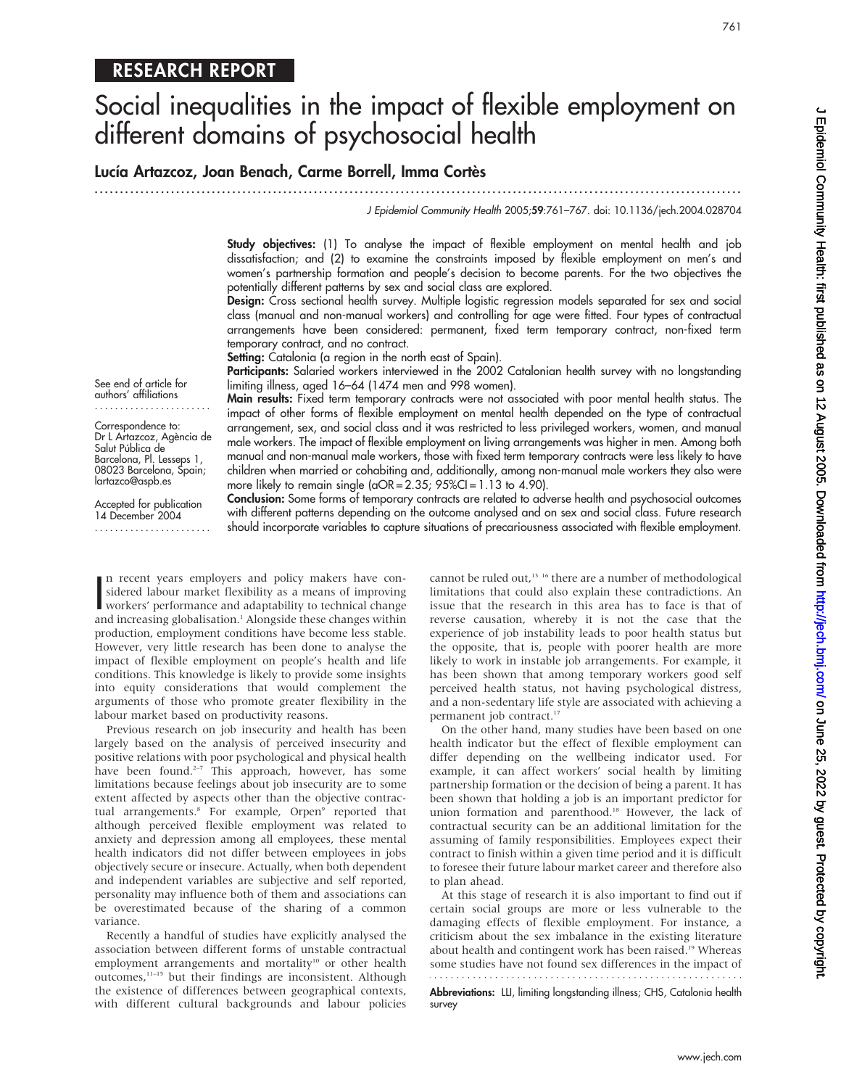# RESEARCH REPORT

# Social inequalities in the impact of flexible employment on different domains of psychosocial health

# Lucía Artazcoz, Joan Benach, Carme Borrell, Imma Cortès

...............................................................................................................................

J Epidemiol Community Health 2005;59:761–767. doi: 10.1136/jech.2004.028704

Study objectives: (1) To analyse the impact of flexible employment on mental health and job dissatisfaction; and (2) to examine the constraints imposed by flexible employment on men's and women's partnership formation and people's decision to become parents. For the two objectives the potentially different patterns by sex and social class are explored.

Design: Cross sectional health survey. Multiple logistic regression models separated for sex and social class (manual and non-manual workers) and controlling for age were fitted. Four types of contractual arrangements have been considered: permanent, fixed term temporary contract, non-fixed term temporary contract, and no contract.

Setting: Catalonia (a region in the north east of Spain).

Participants: Salaried workers interviewed in the 2002 Catalonian health survey with no longstanding limiting illness, aged 16–64 (1474 men and 998 women).

Main results: Fixed term temporary contracts were not associated with poor mental health status. The impact of other forms of flexible employment on mental health depended on the type of contractual arrangement, sex, and social class and it was restricted to less privileged workers, women, and manual male workers. The impact of flexible employment on living arrangements was higher in men. Among both manual and non-manual male workers, those with fixed term temporary contracts were less likely to have children when married or cohabiting and, additionally, among non-manual male workers they also were more likely to remain single ( $aOR = 2.35$ ;  $95\%CI = 1.13$  to 4.90).

lartazco@aspb.es Accepted for publication 14 December 2004 .......................

See end of article for authors' affiliations ....................... Correspondence to: Dr L Artazcoz, Agència de Salut Pública de Barcelona, Pl. Lesseps 1, 08023 Barcelona, Spain;

> Conclusion: Some forms of temporary contracts are related to adverse health and psychosocial outcomes with different patterns depending on the outcome analysed and on sex and social class. Future research should incorporate variables to capture situations of precariousness associated with flexible employment.

In recent years employers and policy makers have considered labour market flexibility as a means of improving<br>workers' performance and adaptability to technical change<br>and increasing alghalication  $\frac{1}{2}$  Alongside these n recent years employers and policy makers have considered labour market flexibility as a means of improving and increasing globalisation.<sup>1</sup> Alongside these changes within production, employment conditions have become less stable. However, very little research has been done to analyse the impact of flexible employment on people's health and life conditions. This knowledge is likely to provide some insights into equity considerations that would complement the arguments of those who promote greater flexibility in the labour market based on productivity reasons.

Previous research on job insecurity and health has been largely based on the analysis of perceived insecurity and positive relations with poor psychological and physical health have been found.<sup>2-7</sup> This approach, however, has some limitations because feelings about job insecurity are to some extent affected by aspects other than the objective contractual arrangements.<sup>8</sup> For example, Orpen<sup>9</sup> reported that although perceived flexible employment was related to anxiety and depression among all employees, these mental health indicators did not differ between employees in jobs objectively secure or insecure. Actually, when both dependent and independent variables are subjective and self reported, personality may influence both of them and associations can be overestimated because of the sharing of a common variance.

Recently a handful of studies have explicitly analysed the association between different forms of unstable contractual employment arrangements and mortality<sup>10</sup> or other health outcomes,11–15 but their findings are inconsistent. Although the existence of differences between geographical contexts, with different cultural backgrounds and labour policies

cannot be ruled out, $13/16$  there are a number of methodological limitations that could also explain these contradictions. An issue that the research in this area has to face is that of reverse causation, whereby it is not the case that the experience of job instability leads to poor health status but the opposite, that is, people with poorer health are more likely to work in instable job arrangements. For example, it has been shown that among temporary workers good self perceived health status, not having psychological distress, and a non-sedentary life style are associated with achieving a permanent job contract.<sup>17</sup>

On the other hand, many studies have been based on one health indicator but the effect of flexible employment can differ depending on the wellbeing indicator used. For example, it can affect workers' social health by limiting partnership formation or the decision of being a parent. It has been shown that holding a job is an important predictor for union formation and parenthood.<sup>18</sup> However, the lack of contractual security can be an additional limitation for the assuming of family responsibilities. Employees expect their contract to finish within a given time period and it is difficult to foresee their future labour market career and therefore also to plan ahead.

At this stage of research it is also important to find out if certain social groups are more or less vulnerable to the damaging effects of flexible employment. For instance, a criticism about the sex imbalance in the existing literature about health and contingent work has been raised.<sup>19</sup> Whereas some studies have not found sex differences in the impact of

Abbreviations: LLI, limiting longstanding illness; CHS, Catalonia health survey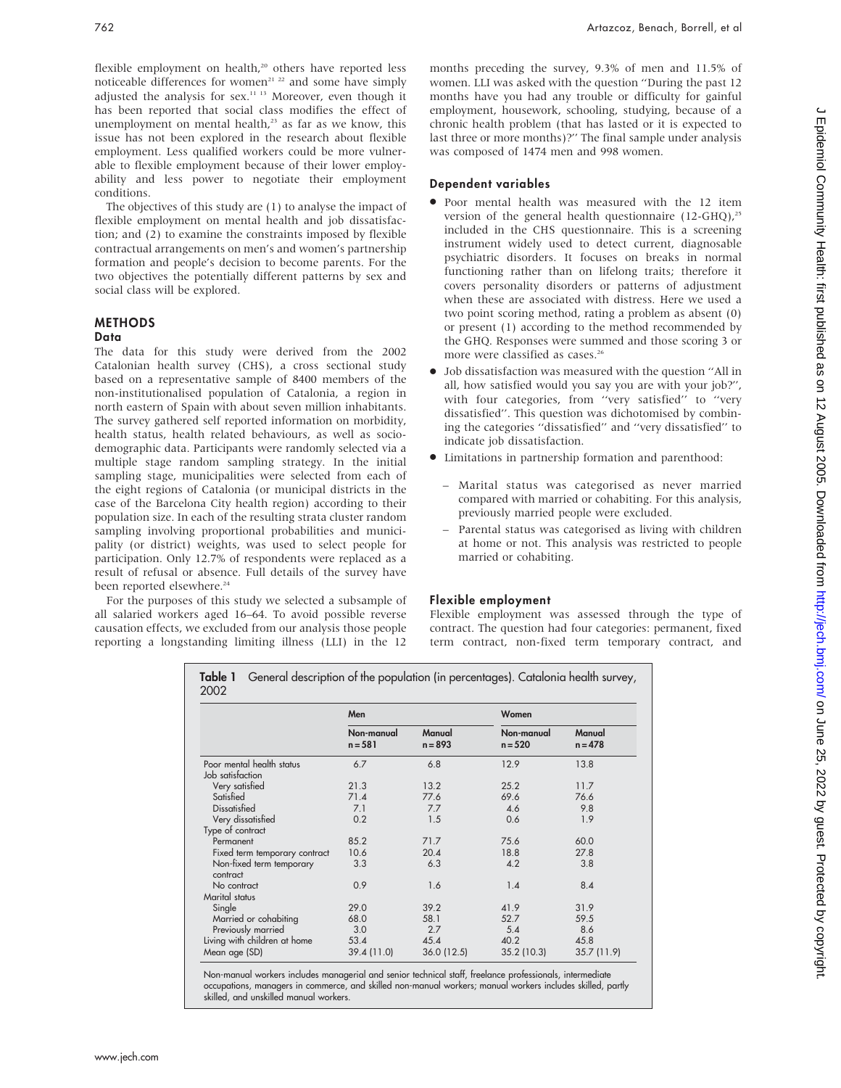flexible employment on health,<sup>20</sup> others have reported less noticeable differences for women<sup>21 22</sup> and some have simply adjusted the analysis for sex.<sup>11 13</sup> Moreover, even though it has been reported that social class modifies the effect of unemployment on mental health,<sup>23</sup> as far as we know, this issue has not been explored in the research about flexible employment. Less qualified workers could be more vulnerable to flexible employment because of their lower employability and less power to negotiate their employment conditions.

The objectives of this study are (1) to analyse the impact of flexible employment on mental health and job dissatisfaction; and (2) to examine the constraints imposed by flexible contractual arrangements on men's and women's partnership formation and people's decision to become parents. For the two objectives the potentially different patterns by sex and social class will be explored.

#### METHODS

#### Data

The data for this study were derived from the 2002 Catalonian health survey (CHS), a cross sectional study based on a representative sample of 8400 members of the non-institutionalised population of Catalonia, a region in north eastern of Spain with about seven million inhabitants. The survey gathered self reported information on morbidity, health status, health related behaviours, as well as sociodemographic data. Participants were randomly selected via a multiple stage random sampling strategy. In the initial sampling stage, municipalities were selected from each of the eight regions of Catalonia (or municipal districts in the case of the Barcelona City health region) according to their population size. In each of the resulting strata cluster random sampling involving proportional probabilities and municipality (or district) weights, was used to select people for participation. Only 12.7% of respondents were replaced as a result of refusal or absence. Full details of the survey have been reported elsewhere.<sup>24</sup>

For the purposes of this study we selected a subsample of all salaried workers aged 16–64. To avoid possible reverse causation effects, we excluded from our analysis those people reporting a longstanding limiting illness (LLI) in the 12 months preceding the survey, 9.3% of men and 11.5% of women. LLI was asked with the question ''During the past 12 months have you had any trouble or difficulty for gainful employment, housework, schooling, studying, because of a chronic health problem (that has lasted or it is expected to last three or more months)?'' The final sample under analysis was composed of 1474 men and 998 women.

# Dependent variables

- $\bullet$  Poor mental health was measured with the 12 item version of the general health questionnaire  $(12\text{-}GHQ)$ ,<sup>25</sup> included in the CHS questionnaire. This is a screening instrument widely used to detect current, diagnosable psychiatric disorders. It focuses on breaks in normal functioning rather than on lifelong traits; therefore it covers personality disorders or patterns of adjustment when these are associated with distress. Here we used a two point scoring method, rating a problem as absent (0) or present (1) according to the method recommended by the GHQ. Responses were summed and those scoring 3 or more were classified as cases.<sup>26</sup>
- $\bullet$  Job dissatisfaction was measured with the question "All in all, how satisfied would you say you are with your job?'', with four categories, from ''very satisfied'' to ''very dissatisfied''. This question was dichotomised by combining the categories ''dissatisfied'' and ''very dissatisfied'' to indicate job dissatisfaction.
- Limitations in partnership formation and parenthood:
	- Marital status was categorised as never married compared with married or cohabiting. For this analysis, previously married people were excluded.
	- Parental status was categorised as living with children at home or not. This analysis was restricted to people married or cohabiting.

# Flexible employment

Flexible employment was assessed through the type of contract. The question had four categories: permanent, fixed term contract, non-fixed term temporary contract, and

|                                      | Men                     |                     | Women                   |                     |  |
|--------------------------------------|-------------------------|---------------------|-------------------------|---------------------|--|
|                                      | Non-manual<br>$n = 581$ | Manual<br>$n = 893$ | Non-manual<br>$n = 520$ | Manual<br>$n = 478$ |  |
| Poor mental health status            | 6.7                     | 6.8                 | 12.9                    | 13.8                |  |
| Job satisfaction                     |                         |                     |                         |                     |  |
| Very satisfied                       | 21.3                    | 13.2                | 25.2                    | 11.7                |  |
| Satisfied                            | 71.4                    | 77.6                | 69.6                    | 76.6                |  |
| <b>Dissatisfied</b>                  | 7.1                     | 7.7                 | 4.6                     | 9.8                 |  |
| Very dissatisfied                    | 0.2                     | 1.5                 | 0.6                     | 1.9                 |  |
| Type of contract                     |                         |                     |                         |                     |  |
| Permanent                            | 85.2                    | 71.7                | 75.6                    | 60.0                |  |
| Fixed term temporary contract        | 10.6                    | 20.4                | 18.8                    | 27.8                |  |
| Non-fixed term temporary<br>contract | 3.3                     | 6.3                 | 4.2                     | 3.8                 |  |
| No contract                          | 0.9                     | 1.6                 | 1.4                     | 8.4                 |  |
| Marital status                       |                         |                     |                         |                     |  |
| Single                               | 29.0                    | 39.2                | 41.9                    | 31.9                |  |
| Married or cohabiting                | 68.0                    | 58.1                | 52.7                    | 59.5                |  |
| Previously married                   | 3.0                     | 2.7                 | 5.4                     | 8.6                 |  |
| Living with children at home         | 53.4                    | 45.4                | 40.2                    | 45.8                |  |
| Mean age (SD)                        | 39.4 (11.0)             | 36.0 (12.5)         | 35.2 (10.3)             | 35.7 (11.9)         |  |

Non-manual workers includes managerial and senior technical staff, freelance professionals, intermediate occupations, managers in commerce, and skilled non-manual workers; manual workers includes skilled, partly skilled, and unskilled manual workers.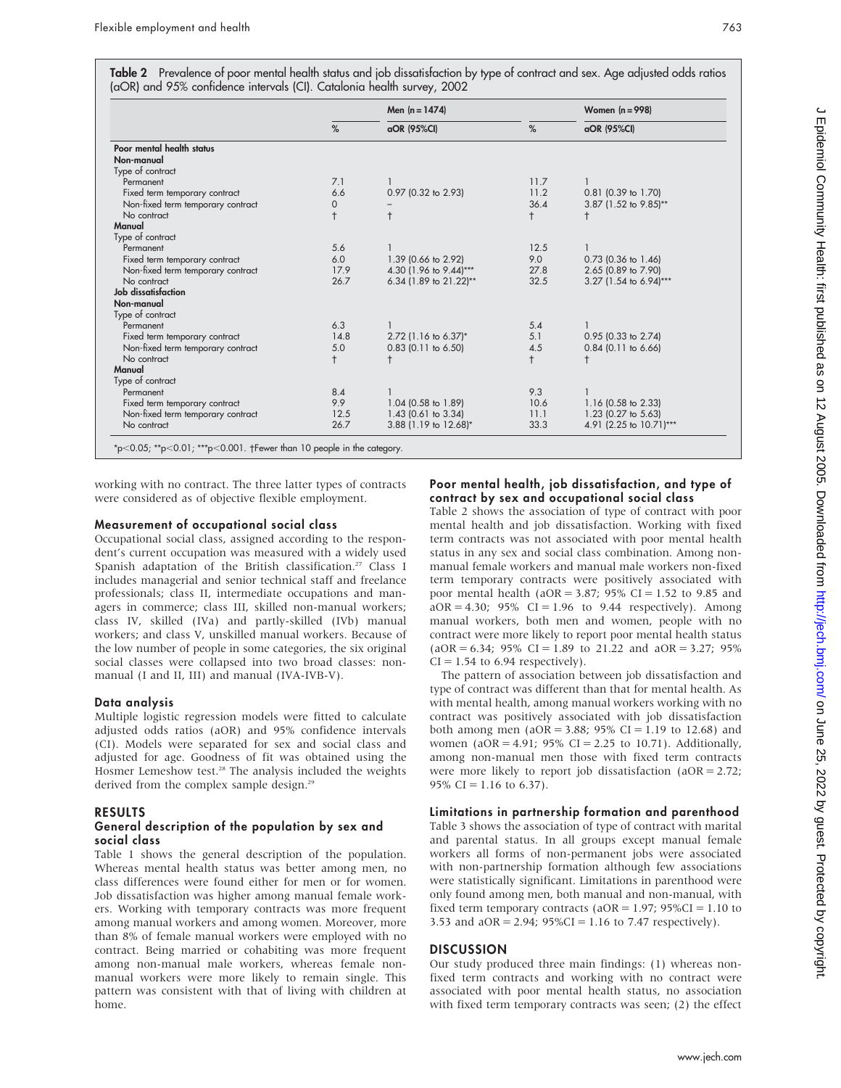Table 2 Prevalence of poor mental health status and job dissatisfaction by type of contract and sex. Age adjusted odds ratios (aOR) and 95% confidence intervals (CI). Catalonia health survey, 2002

|                                   |             | Men $(n = 1474)$                   |            | Women $(n = 998)$              |
|-----------------------------------|-------------|------------------------------------|------------|--------------------------------|
|                                   | %           | aOR (95%CI)                        | %          | aOR (95%CI)                    |
| Poor mental health status         |             |                                    |            |                                |
| Non-manual                        |             |                                    |            |                                |
| Type of contract                  |             |                                    |            |                                |
| Permanent                         | 7.1         |                                    | 11.7       |                                |
| Fixed term temporary contract     | 6.6         | 0.97 (0.32 to 2.93)                | 11.2       | 0.81 (0.39 to 1.70)            |
| Non-fixed term temporary contract | $\mathbf 0$ |                                    | 36.4       | 3.87 (1.52 to 9.85)**          |
| No contract                       | $\ddagger$  | $\ddagger$                         | $\ddagger$ | t                              |
| Manual                            |             |                                    |            |                                |
| Type of contract                  |             |                                    |            |                                |
| Permanent                         | 5.6         |                                    | 12.5       |                                |
| Fixed term temporary contract     | 6.0         | 1.39 (0.66 to 2.92)                | 9.0        | 0.73 (0.36 to 1.46)            |
| Non-fixed term temporary contract | 17.9        | 4.30 (1.96 to 9.44)***             | 27.8       | 2.65 (0.89 to 7.90)            |
| No contract                       | 26.7        | 6.34 (1.89 to $21.22$ )**          | 32.5       | 3.27 (1.54 to 6.94)***         |
| Job dissatisfaction               |             |                                    |            |                                |
| Non-manual                        |             |                                    |            |                                |
| Type of contract                  |             |                                    |            |                                |
| Permanent                         | 6.3         |                                    | 5.4        |                                |
| Fixed term temporary contract     | 14.8        | $2.72$ (1.16 to 6.37) <sup>*</sup> | 5.1        | $0.95$ (0.33 to 2.74)          |
| Non-fixed term temporary contract | 5.0         | $0.83$ (0.11 to 6.50)              | 4.5        | $0.84$ (0.11 to 6.66)          |
| No contract                       |             | $\ddagger$                         |            | $\ddagger$                     |
| Manual                            |             |                                    |            |                                |
| Type of contract                  |             |                                    |            |                                |
| Permanent                         | 8.4         |                                    | 9.3        |                                |
| Fixed term temporary contract     | 9.9         | 1.04 (0.58 to 1.89)                | 10.6       | 1.16 $(0.58 \text{ to } 2.33)$ |
| Non-fixed term temporary contract | 12.5        | 1.43 $(0.61$ to 3.34)              | 11.1       | 1.23 (0.27 to 5.63)            |
| No contract                       | 26.7        | 3.88 (1.19 to 12.68)*              | 33.3       | 4.91 (2.25 to 10.71)***        |

\*p $<$ 0.05; \*\*p $<$ 0.01; \*\*\*p $<$ 0.001. †Fewer than 10 people in the category

working with no contract. The three latter types of contracts were considered as of objective flexible employment.

#### Measurement of occupational social class

Occupational social class, assigned according to the respondent's current occupation was measured with a widely used Spanish adaptation of the British classification.<sup>27</sup> Class I includes managerial and senior technical staff and freelance professionals; class II, intermediate occupations and managers in commerce; class III, skilled non-manual workers; class IV, skilled (IVa) and partly-skilled (IVb) manual workers; and class V, unskilled manual workers. Because of the low number of people in some categories, the six original social classes were collapsed into two broad classes: nonmanual (I and II, III) and manual (IVA-IVB-V).

#### Data analysis

Multiple logistic regression models were fitted to calculate adjusted odds ratios (aOR) and 95% confidence intervals (CI). Models were separated for sex and social class and adjusted for age. Goodness of fit was obtained using the Hosmer Lemeshow test.<sup>28</sup> The analysis included the weights derived from the complex sample design.<sup>29</sup>

#### RESULTS

#### General description of the population by sex and social class

Table 1 shows the general description of the population. Whereas mental health status was better among men, no class differences were found either for men or for women. Job dissatisfaction was higher among manual female workers. Working with temporary contracts was more frequent among manual workers and among women. Moreover, more than 8% of female manual workers were employed with no contract. Being married or cohabiting was more frequent among non-manual male workers, whereas female nonmanual workers were more likely to remain single. This pattern was consistent with that of living with children at home.

## Poor mental health, job dissatisfaction, and type of contract by sex and occupational social class

Table 2 shows the association of type of contract with poor mental health and job dissatisfaction. Working with fixed term contracts was not associated with poor mental health status in any sex and social class combination. Among nonmanual female workers and manual male workers non-fixed term temporary contracts were positively associated with poor mental health ( $aOR = 3.87$ ; 95% CI = 1.52 to 9.85 and  $aOR = 4.30$ ; 95%  $CI = 1.96$  to 9.44 respectively). Among manual workers, both men and women, people with no contract were more likely to report poor mental health status  $(aOR = 6.34; 95\% CI = 1.89$  to 21.22 and  $aOR = 3.27; 95\%$  $CI = 1.54$  to 6.94 respectively).

The pattern of association between job dissatisfaction and type of contract was different than that for mental health. As with mental health, among manual workers working with no contract was positively associated with job dissatisfaction both among men ( $aOR = 3.88$ ;  $95\% CI = 1.19$  to 12.68) and women (aOR = 4.91; 95% CI = 2.25 to 10.71). Additionally, among non-manual men those with fixed term contracts were more likely to report job dissatisfaction  $(aOR = 2.72)$ ; 95% CI = 1.16 to 6.37).

#### Limitations in partnership formation and parenthood

Table 3 shows the association of type of contract with marital and parental status. In all groups except manual female workers all forms of non-permanent jobs were associated with non-partnership formation although few associations were statistically significant. Limitations in parenthood were only found among men, both manual and non-manual, with fixed term temporary contracts ( $aOR = 1.97$ ;  $95\%CI = 1.10$  to 3.53 and  $aOR = 2.94$ ;  $95\%CI = 1.16$  to 7.47 respectively).

#### **DISCUSSION**

Our study produced three main findings: (1) whereas nonfixed term contracts and working with no contract were associated with poor mental health status, no association with fixed term temporary contracts was seen; (2) the effect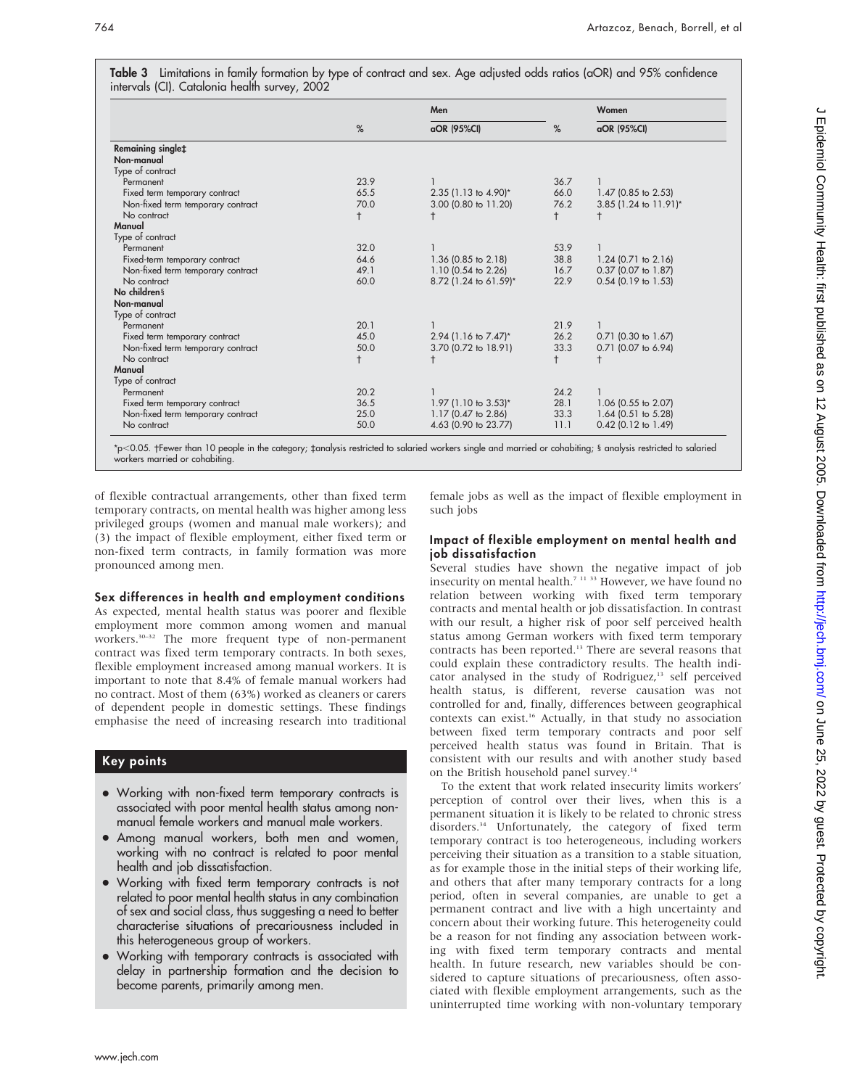Table 3 Limitations in family formation by type of contract and sex. Age adjusted odds ratios (aOR) and 95% confidence intervals (CI). Catalonia health survey, 2002

|                                   |            | Men                     | %            | Women<br>aOR (95%CI)                |
|-----------------------------------|------------|-------------------------|--------------|-------------------------------------|
|                                   | %          | aOR (95%CI)             |              |                                     |
| <b>Remaining single‡</b>          |            |                         |              |                                     |
| Non-manual                        |            |                         |              |                                     |
| Type of contract                  |            |                         |              |                                     |
| Permanent                         | 23.9       |                         | 36.7         |                                     |
| Fixed term temporary contract     | 65.5       | $2.35$ (1.13 to 4.90)*  | 66.0         | $1.47$ (0.85 to 2.53)               |
| Non-fixed term temporary contract | 70.0       | 3.00 (0.80 to 11.20)    | 76.2         | $3.85$ (1.24 to 11.91) <sup>*</sup> |
| No contract                       | $\ddagger$ | $\ddagger$              | $^{\dagger}$ | $\ddagger$                          |
| Manual                            |            |                         |              |                                     |
| Type of contract                  |            |                         |              |                                     |
| Permanent                         | 32.0       |                         | 53.9         |                                     |
| Fixed-term temporary contract     | 64.6       | 1.36 (0.85 to 2.18)     | 38.8         | $1.24$ (0.71 to 2.16)               |
| Non-fixed term temporary contract | 49.1       | 1.10 (0.54 to 2.26)     | 16.7         | 0.37 (0.07 to 1.87)                 |
| No contract                       | 60.0       | 8.72 (1.24 to 61.59)*   | 22.9         | $0.54$ (0.19 to 1.53)               |
| No children <sup>§</sup>          |            |                         |              |                                     |
| Non-manual                        |            |                         |              |                                     |
| Type of contract                  |            |                         |              |                                     |
| Permanent                         | 20.1       |                         | 21.9         |                                     |
| Fixed term temporary contract     | 45.0       | 2.94 (1.16 to $7.47$ )* | 26.2         | 0.71 (0.30 to 1.67)                 |
| Non-fixed term temporary contract | 50.0       | 3.70 (0.72 to 18.91)    | 33.3         | 0.71 (0.07 to 6.94)                 |
| No contract                       | $\ddagger$ | t                       | $^+$         | t                                   |
| Manual                            |            |                         |              |                                     |
| Type of contract                  |            |                         |              |                                     |
| Permanent                         | 20.2       |                         | 24.2         |                                     |
| Fixed term temporary contract     | 36.5       | 1.97 (1.10 to $3.53$ )* | 28.1         | 1.06 (0.55 to 2.07)                 |
| Non-fixed term temporary contract | 25.0       | $1.17$ (0.47 to 2.86)   | 33.3         | $1.64$ (0.51 to 5.28)               |
| No contract                       | 50.0       | 4.63 (0.90 to 23.77)    | 11.1         | $0.42$ (0.12 to 1.49)               |

\*p,0.05. Fewer than 10 people in the category; `analysis restricted to salaried workers single and married or cohabiting; 1 analysis restricted to salaried workers married or cohabiting.

of flexible contractual arrangements, other than fixed term temporary contracts, on mental health was higher among less privileged groups (women and manual male workers); and (3) the impact of flexible employment, either fixed term or non-fixed term contracts, in family formation was more pronounced among men.

#### Sex differences in health and employment conditions

As expected, mental health status was poorer and flexible employment more common among women and manual workers.<sup>30–32</sup> The more frequent type of non-permanent contract was fixed term temporary contracts. In both sexes, flexible employment increased among manual workers. It is important to note that 8.4% of female manual workers had no contract. Most of them (63%) worked as cleaners or carers of dependent people in domestic settings. These findings emphasise the need of increasing research into traditional

# Key points

- Working with non-fixed term temporary contracts is associated with poor mental health status among nonmanual female workers and manual male workers.
- N Among manual workers, both men and women, working with no contract is related to poor mental health and job dissatisfaction.
- Working with fixed term temporary contracts is not related to poor mental health status in any combination of sex and social class, thus suggesting a need to better characterise situations of precariousness included in this heterogeneous group of workers.
- Working with temporary contracts is associated with delay in partnership formation and the decision to become parents, primarily among men.

female jobs as well as the impact of flexible employment in such jobs

#### Impact of flexible employment on mental health and job dissatisfaction

Several studies have shown the negative impact of job insecurity on mental health.7 11 33 However, we have found no relation between working with fixed term temporary contracts and mental health or job dissatisfaction. In contrast with our result, a higher risk of poor self perceived health status among German workers with fixed term temporary contracts has been reported.<sup>13</sup> There are several reasons that could explain these contradictory results. The health indicator analysed in the study of Rodriguez,<sup>13</sup> self perceived health status, is different, reverse causation was not controlled for and, finally, differences between geographical contexts can exist.16 Actually, in that study no association between fixed term temporary contracts and poor self perceived health status was found in Britain. That is consistent with our results and with another study based on the British household panel survey.14

To the extent that work related insecurity limits workers' perception of control over their lives, when this is a permanent situation it is likely to be related to chronic stress disorders.34 Unfortunately, the category of fixed term temporary contract is too heterogeneous, including workers perceiving their situation as a transition to a stable situation, as for example those in the initial steps of their working life, and others that after many temporary contracts for a long period, often in several companies, are unable to get a permanent contract and live with a high uncertainty and concern about their working future. This heterogeneity could be a reason for not finding any association between working with fixed term temporary contracts and mental health. In future research, new variables should be considered to capture situations of precariousness, often associated with flexible employment arrangements, such as the uninterrupted time working with non-voluntary temporary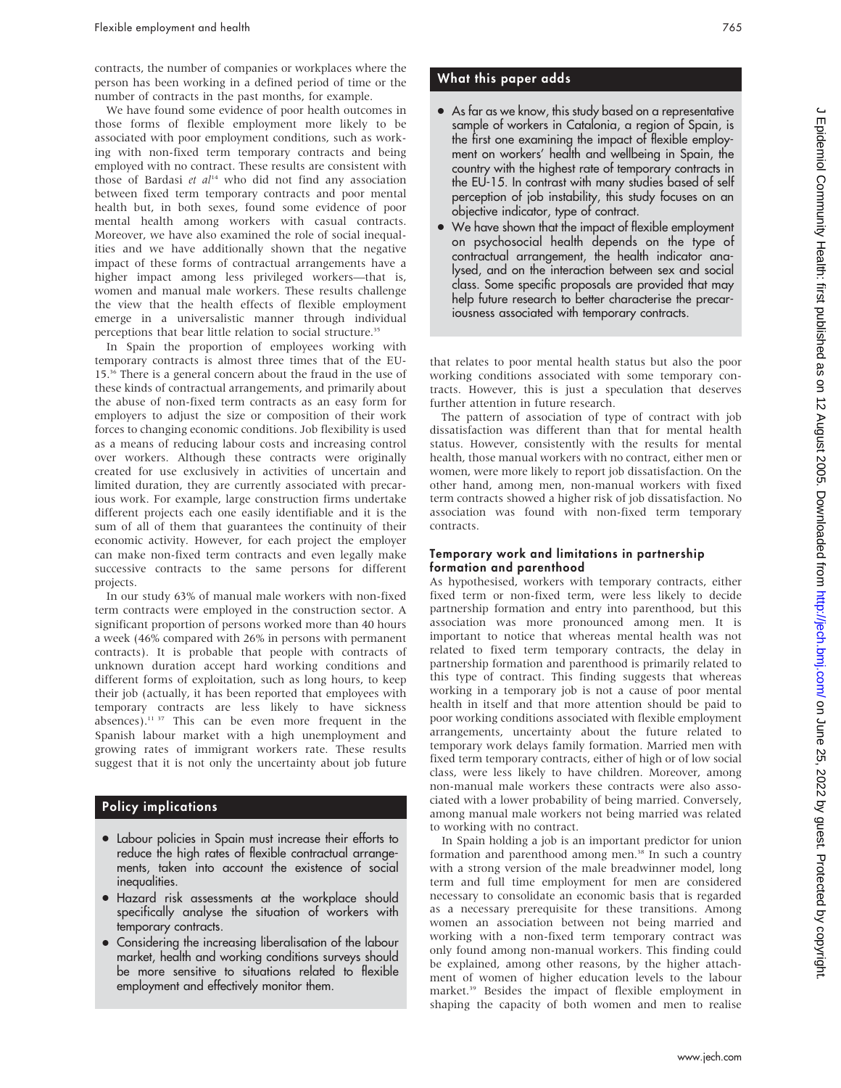contracts, the number of companies or workplaces where the person has been working in a defined period of time or the number of contracts in the past months, for example.

We have found some evidence of poor health outcomes in those forms of flexible employment more likely to be associated with poor employment conditions, such as working with non-fixed term temporary contracts and being employed with no contract. These results are consistent with those of Bardasi et  $al<sup>14</sup>$  who did not find any association between fixed term temporary contracts and poor mental health but, in both sexes, found some evidence of poor mental health among workers with casual contracts. Moreover, we have also examined the role of social inequalities and we have additionally shown that the negative impact of these forms of contractual arrangements have a higher impact among less privileged workers—that is, women and manual male workers. These results challenge the view that the health effects of flexible employment emerge in a universalistic manner through individual perceptions that bear little relation to social structure.<sup>35</sup>

In Spain the proportion of employees working with temporary contracts is almost three times that of the EU-15.36 There is a general concern about the fraud in the use of these kinds of contractual arrangements, and primarily about the abuse of non-fixed term contracts as an easy form for employers to adjust the size or composition of their work forces to changing economic conditions. Job flexibility is used as a means of reducing labour costs and increasing control over workers. Although these contracts were originally created for use exclusively in activities of uncertain and limited duration, they are currently associated with precarious work. For example, large construction firms undertake different projects each one easily identifiable and it is the sum of all of them that guarantees the continuity of their economic activity. However, for each project the employer can make non-fixed term contracts and even legally make successive contracts to the same persons for different projects.

In our study 63% of manual male workers with non-fixed term contracts were employed in the construction sector. A significant proportion of persons worked more than 40 hours a week (46% compared with 26% in persons with permanent contracts). It is probable that people with contracts of unknown duration accept hard working conditions and different forms of exploitation, such as long hours, to keep their job (actually, it has been reported that employees with temporary contracts are less likely to have sickness absences).<sup>11 37</sup> This can be even more frequent in the Spanish labour market with a high unemployment and growing rates of immigrant workers rate. These results suggest that it is not only the uncertainty about job future

# Policy implications

- Labour policies in Spain must increase their efforts to reduce the high rates of flexible contractual arrangements, taken into account the existence of social inequalities.
- N Hazard risk assessments at the workplace should specifically analyse the situation of workers with temporary contracts.
- Considering the increasing liberalisation of the labour market, health and working conditions surveys should be more sensitive to situations related to flexible employment and effectively monitor them.

# What this paper adds

- As far as we know, this study based on a representative sample of workers in Catalonia, a region of Spain, is the first one examining the impact of flexible employment on workers' health and wellbeing in Spain, the country with the highest rate of temporary contracts in the EU-15. In contrast with many studies based of self perception of job instability, this study focuses on an objective indicator, type of contract.
- We have shown that the impact of flexible employment on psychosocial health depends on the type of contractual arrangement, the health indicator analysed, and on the interaction between sex and social class. Some specific proposals are provided that may help future research to better characterise the precariousness associated with temporary contracts.

that relates to poor mental health status but also the poor working conditions associated with some temporary contracts. However, this is just a speculation that deserves further attention in future research.

The pattern of association of type of contract with job dissatisfaction was different than that for mental health status. However, consistently with the results for mental health, those manual workers with no contract, either men or women, were more likely to report job dissatisfaction. On the other hand, among men, non-manual workers with fixed term contracts showed a higher risk of job dissatisfaction. No association was found with non-fixed term temporary contracts.

# Temporary work and limitations in partnership formation and parenthood

As hypothesised, workers with temporary contracts, either fixed term or non-fixed term, were less likely to decide partnership formation and entry into parenthood, but this association was more pronounced among men. It is important to notice that whereas mental health was not related to fixed term temporary contracts, the delay in partnership formation and parenthood is primarily related to this type of contract. This finding suggests that whereas working in a temporary job is not a cause of poor mental health in itself and that more attention should be paid to poor working conditions associated with flexible employment arrangements, uncertainty about the future related to temporary work delays family formation. Married men with fixed term temporary contracts, either of high or of low social class, were less likely to have children. Moreover, among non-manual male workers these contracts were also associated with a lower probability of being married. Conversely, among manual male workers not being married was related to working with no contract.

In Spain holding a job is an important predictor for union formation and parenthood among men.<sup>38</sup> In such a country with a strong version of the male breadwinner model, long term and full time employment for men are considered necessary to consolidate an economic basis that is regarded as a necessary prerequisite for these transitions. Among women an association between not being married and working with a non-fixed term temporary contract was only found among non-manual workers. This finding could be explained, among other reasons, by the higher attachment of women of higher education levels to the labour market.39 Besides the impact of flexible employment in shaping the capacity of both women and men to realise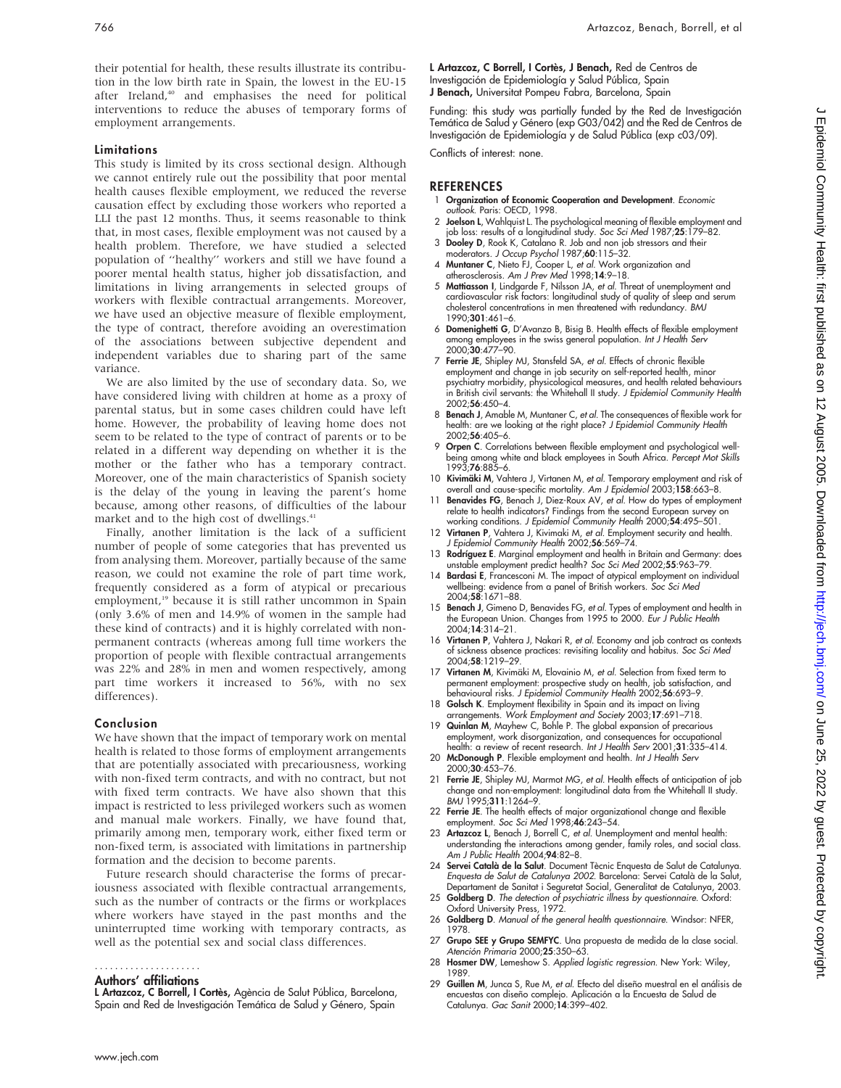their potential for health, these results illustrate its contribution in the low birth rate in Spain, the lowest in the EU-15 after Ireland,<sup>40</sup> and emphasises the need for political interventions to reduce the abuses of temporary forms of employment arrangements.

#### Limitations

This study is limited by its cross sectional design. Although we cannot entirely rule out the possibility that poor mental health causes flexible employment, we reduced the reverse causation effect by excluding those workers who reported a LLI the past 12 months. Thus, it seems reasonable to think that, in most cases, flexible employment was not caused by a health problem. Therefore, we have studied a selected population of ''healthy'' workers and still we have found a poorer mental health status, higher job dissatisfaction, and limitations in living arrangements in selected groups of workers with flexible contractual arrangements. Moreover, we have used an objective measure of flexible employment, the type of contract, therefore avoiding an overestimation of the associations between subjective dependent and independent variables due to sharing part of the same variance.

We are also limited by the use of secondary data. So, we have considered living with children at home as a proxy of parental status, but in some cases children could have left home. However, the probability of leaving home does not seem to be related to the type of contract of parents or to be related in a different way depending on whether it is the mother or the father who has a temporary contract. Moreover, one of the main characteristics of Spanish society is the delay of the young in leaving the parent's home because, among other reasons, of difficulties of the labour market and to the high cost of dwellings.<sup>41</sup>

Finally, another limitation is the lack of a sufficient number of people of some categories that has prevented us from analysing them. Moreover, partially because of the same reason, we could not examine the role of part time work, frequently considered as a form of atypical or precarious employment,<sup>19</sup> because it is still rather uncommon in Spain (only 3.6% of men and 14.9% of women in the sample had these kind of contracts) and it is highly correlated with nonpermanent contracts (whereas among full time workers the proportion of people with flexible contractual arrangements was 22% and 28% in men and women respectively, among part time workers it increased to 56%, with no sex differences).

#### Conclusion

We have shown that the impact of temporary work on mental health is related to those forms of employment arrangements that are potentially associated with precariousness, working with non-fixed term contracts, and with no contract, but not with fixed term contracts. We have also shown that this impact is restricted to less privileged workers such as women and manual male workers. Finally, we have found that, primarily among men, temporary work, either fixed term or non-fixed term, is associated with limitations in partnership formation and the decision to become parents.

Future research should characterise the forms of precariousness associated with flexible contractual arrangements, such as the number of contracts or the firms or workplaces where workers have stayed in the past months and the uninterrupted time working with temporary contracts, as well as the potential sex and social class differences.

## .....................

## Authors' affiliations

L Artazcoz, C Borrell, I Cortès, Agència de Salut Pública, Barcelona, Spain and Red de Investigación Temática de Salud y Género, Spain

L Artazcoz, C Borrell, I Cortès, J Benach, Red de Centros de Investigación de Epidemiología y Salud Pública, Spain J Benach, Universitat Pompeu Fabra, Barcelona, Spain

Funding: this study was partially funded by the Red de Investigación Temática de Salud y Género (exp G03/042) and the Red de Centros de Investigación de Epidemiología y de Salud Pública (exp c03/09).

Conflicts of interest: none.

# **REFERENCES**

- 1 Organization of Economic Cooperation and Development. Economic outlook. Paris: OECD, 1998.
- 2 Joelson L, Wahlquist L. The psychological meaning of flexible employment and job loss: results of a longitudinal study. Soc Sci Med 1987;25:179–82. 3 Dooley D, Rook K, Catalano R. Job and non job stressors and their
- moderators. J Occup Psychol 1987;60:115–32.
- 4 Muntaner C, Nieto FJ, Cooper L, et al. Work organization and atherosclerosis. Am J Prev Med 1998;14:9–18.
- 5 Mattiasson I, Lindgarde F, Nilsson JA, et al. Threat of unemployment and cardiovascular risk factors: longitudinal study of quality of sleep and serum cholesterol concentrations in men threatened with redundancy. BMJ 1990;301:461–6.
- 6 Domenighetti G, D'Avanzo B, Bisig B. Health effects of flexible employment among employees in the swiss general population. *Int J Health Serv*<br>2000;**30**:477–90.
- 7 Ferrie JE, Shipley MJ, Stansfeld SA, et al. Effects of chronic flexible employment and change in job security on self-reported health, minor psychiatry morbidity, physicological measures, and health related behaviours in British civil servants: the Whitehall II study. J Epidemiol Community Health 2002;56:450–4.
- 8 Benach J, Amable M, Muntaner C, et al. The consequences of flexible work for health: are we looking at the right place? J Epidemiol Community Health 2002;56:405–6.
- 9 Orpen C. Correlations between flexible employment and psychological wellbeing among white and black employees in South Africa. Percept Mot Skills 1993;76:885–6.
- 10 Kivimäki M, Vahtera J, Virtanen M, et al. Temporary employment and risk of overall and cause-specific mortality. Am J Epidemiol 2003;158:663–8.
- 11 **Benavides FG**, Benach J, Diez-Roux AV, et al. How do types of employment relate to health indicators? Findings from the second European survey on vorking conditions. *J Epidemiol Community Health* 2000;**54**:495–501.
- 12 Virtanen P, Vahtera J, Kivimaki M, et al. Employment security and health. J Epidemiol Community Health 2002;56:569–74.
- 13 Rodríguez E. Marginal employment and health in Britain and Germany: does unstable employment predict health? Soc Sci Med 2002;55:963–79.
- 14 Bardasi E, Francesconi M. The impact of atypical employment on individual wellbeing: evidence from a panel of British workers. Soc Sci Med 2004;58:1671–88.
- 15 Benach J, Gimeno D, Benavides FG, et al. Types of employment and health in the European Union. Changes from 1995 to 2000. Eur J Public Health 2004;14:314–21.
- 16 Virtanen P, Vahtera J, Nakari R, et al. Economy and job contract as contexts of sickness absence practices: revisiting locality and habitus. Soc Sci Med 2004;58:1219–29.
- 17 Virtanen M, Kivimäki M, Elovainio M, et al. Selection from fixed term to permanent employment: prospective study on health, job satisfaction, and<br>behavioural risks. *J Epidemiol Community Health* 2002;**56**:693–9.
- 18 Golsch K. Employment flexibility in Spain and its impact on living arrangements. Work Employment and Society 2003;17:691–718.
- Quinlan M, Mayhew C, Bohle P. The global expansion of precarious employment, work disorganization, and consequences for occupational health: a review of recent research. Int J Health Serv 2001;31:335-414.
- 20 McDonough P. Flexible employment and health. Int J Health Serv 2000;30:453–76.
- Ferrie JE, Shipley MJ, Marmot MG, et al. Health effects of anticipation of job change and non-employment: longitudinal data from the Whitehall II study. BMJ 1995;311:1264–9.
- 22 Ferrie JE. The health effects of major organizational change and flexible employment. Soc Sci Med 1998;46:243–54.
- 23 Artazcoz L, Benach J, Borrell C, et al. Unemployment and mental health: understanding the interactions among gender, family roles, and social class.<br>A*m J Public Health* 2004;**94**:82–8.
- 24 Servei Català de la Salut. Document Tècnic Enquesta de Salut de Catalunya. Enquesta de Salut de Catalunya 2002. Barcelona: Servei Català de la Sa Departament de Sanitat i Seguretat Social, Generalitat de Catalunya, 2003.
- 25 Goldberg D. The detection of psychiatric illness by questionnaire. Oxford: Oxford University Press, 1972.
- 26 Goldberg D. Manual of the general health questionnaire. Windsor: NFER, 1978.
- 27 Grupo SEE y Grupo SEMFYC. Una propuesta de medida de la clase social. Atención Primaria 2000;25:350-63.
- 28 Hosmer DW, Lemeshow S. Applied logistic regression. New York: Wiley, 1989.
- 29 Guillen M, Junca S, Rue M, et al. Efecto del diseño muestral en el análisis de encuestas con diseño complejo. Aplicación a la Encuesta de Salud de Catalunya. Gac Sanit 2000;14:399–402.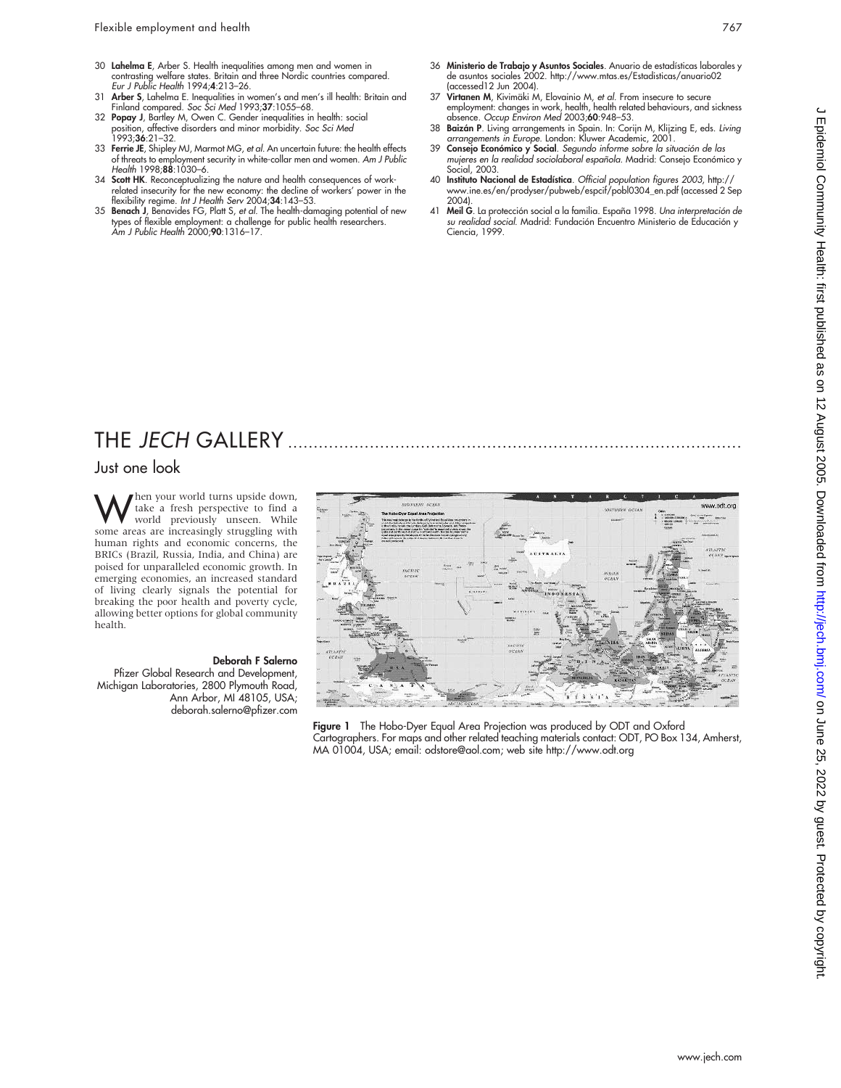- 30 Lahelma E, Arber S. Health inequalities among men and women in contrasting welfare states. Britain and three Nordic countries compared. Eur J Public Health 1994;4:213–26.
- 31 Arber S, Lahelma E. Inequalities in women's and men's ill health: Britain and Finland compared. Soc Sci Med 1993;37:1055–68.
- 32 Popay J, Bartley M, Owen C. Gender inequalities in health: social position, affective disorders and minor morbidity. Soc Sci Med 1993;36:21–32.
- 33 **Ferrie JE**, Shipley MJ, Marmot MG, *et al.* An uncertain future: the health effects<br>of threats to employment security in white-collar men and women. A*m J Public* Health 1998;88:1030-6.
- 34 Scott HK. Reconceptualizing the nature and health consequences of workrelated insecurity for the new economy: the decline of workers' power in the<br>flexibility regime. *Int J Health Serv* 2004;**34**:143–53.
- 35 Benach J, Benavides FG, Platt S, et al. The health-damaging potential of new types of flexible employment: a challenge for public health researchers. Am J Public Health 2000;90:1316–17.
- 36 Ministerio de Trabajo y Asuntos Sociales. Anuario de estadı´sticas laborales y de asuntos sociales 2002. http://www.mtas.es/Estadisticas/anuario02 (accessed12 Jun 2004).
- 37 Virtanen M, Kivimäki M, Elovainio M, et al. From insecure to secure employment: changes in work, health, health related behaviours, and sickness absence. Occup Environ Med 2003;60:948–53.
- 38 **Baizán P**. Living arrangements in Spain. In: Corijn M, Klijzing E, eds. *Living*<br>arrangements in Europe. London: Kluwer Academic, 2001.<br>39 **Consejo Económico y Social**. *Segundo informe sobre la situación de las*
- mujeres en la realidad sociolaboral española. Madrid: Consejo Económico y Social, 2003.
- 40 Instituto Nacional de Estadística. Official population figures 2003, http:// www.ine.es/en/prodyser/pubweb/espcif/pobl0304\_en.pdf (accessed 2 Sep 2004).
- 41 Meil G. La protección social a la familia. España 1998. Una interpretación de su realidad social. Madrid: Fundación Encuentro Ministerio de Educación y Ciencia, 1999.

# THE JECH GALLERY .................

Just one look

When your world turns upside down,<br>take a fresh perspective to find a<br>scome areas are increasingly unseen. While take a fresh perspective to find a some areas are increasingly struggling with human rights and economic concerns, the BRICs (Brazil, Russia, India, and China) are poised for unparalleled economic growth. In emerging economies, an increased standard of living clearly signals the potential for breaking the poor health and poverty cycle, allowing better options for global community health.

Deborah F Salerno Pfizer Global Research and Development, Michigan Laboratories, 2800 Plymouth Road, Ann Arbor, MI 48105, USA; deborah.salerno@pfizer.com



Figure 1 The Hobo-Dyer Equal Area Projection was produced by ODT and Oxford Cartographers. For maps and other related teaching materials contact: ODT, PO Box 134, Amherst, MA 01004, USA; email: odstore@aol.com; web site http://www.odt.org